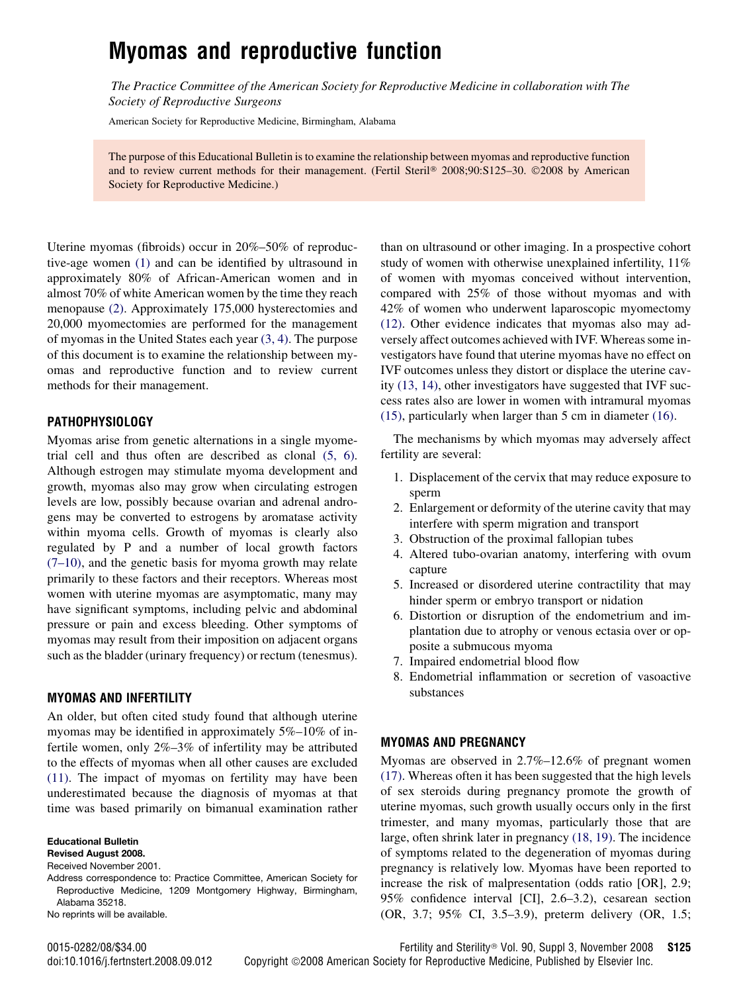# Myomas and reproductive function

The Practice Committee of the American Society for Reproductive Medicine in collaboration with The Society of Reproductive Surgeons

American Society for Reproductive Medicine, Birmingham, Alabama

The purpose of this Educational Bulletin is to examine the relationship between myomas and reproductive function and to review current methods for their management. (Fertil Steril® 2008;90:S125-30. ©2008 by American Society for Reproductive Medicine.)

Uterine myomas (fibroids) occur in 20%–50% of reproductive-age women [\(1\)](#page-4-0) and can be identified by ultrasound in approximately 80% of African-American women and in almost 70% of white American women by the time they reach menopause [\(2\).](#page-4-0) Approximately 175,000 hysterectomies and 20,000 myomectomies are performed for the management of myomas in the United States each year [\(3, 4\).](#page-4-0) The purpose of this document is to examine the relationship between myomas and reproductive function and to review current methods for their management.

### PATHOPHYSIOLOGY

Myomas arise from genetic alternations in a single myometrial cell and thus often are described as clonal [\(5, 6\)](#page-4-0). Although estrogen may stimulate myoma development and growth, myomas also may grow when circulating estrogen levels are low, possibly because ovarian and adrenal androgens may be converted to estrogens by aromatase activity within myoma cells. Growth of myomas is clearly also regulated by P and a number of local growth factors [\(7–10\)](#page-4-0), and the genetic basis for myoma growth may relate primarily to these factors and their receptors. Whereas most women with uterine myomas are asymptomatic, many may have significant symptoms, including pelvic and abdominal pressure or pain and excess bleeding. Other symptoms of myomas may result from their imposition on adjacent organs such as the bladder (urinary frequency) or rectum (tenesmus).

#### MYOMAS AND INFERTILITY

An older, but often cited study found that although uterine myomas may be identified in approximately 5%–10% of infertile women, only 2%–3% of infertility may be attributed to the effects of myomas when all other causes are excluded [\(11\).](#page-4-0) The impact of myomas on fertility may have been underestimated because the diagnosis of myomas at that time was based primarily on bimanual examination rather

Educational Bulletin

Revised August 2008.

Received November 2001.

Address correspondence to: Practice Committee, American Society for Reproductive Medicine, 1209 Montgomery Highway, Birmingham, Alabama 35218.

No reprints will be available.

than on ultrasound or other imaging. In a prospective cohort study of women with otherwise unexplained infertility, 11% of women with myomas conceived without intervention, compared with 25% of those without myomas and with 42% of women who underwent laparoscopic myomectomy [\(12\).](#page-4-0) Other evidence indicates that myomas also may adversely affect outcomes achieved with IVF. Whereas some investigators have found that uterine myomas have no effect on IVF outcomes unless they distort or displace the uterine cavity [\(13, 14\),](#page-4-0) other investigators have suggested that IVF success rates also are lower in women with intramural myomas [\(15\),](#page-4-0) particularly when larger than 5 cm in diameter [\(16\).](#page-4-0)

The mechanisms by which myomas may adversely affect fertility are several:

- 1. Displacement of the cervix that may reduce exposure to sperm
- 2. Enlargement or deformity of the uterine cavity that may interfere with sperm migration and transport
- 3. Obstruction of the proximal fallopian tubes
- 4. Altered tubo-ovarian anatomy, interfering with ovum capture
- 5. Increased or disordered uterine contractility that may hinder sperm or embryo transport or nidation
- 6. Distortion or disruption of the endometrium and implantation due to atrophy or venous ectasia over or opposite a submucous myoma
- 7. Impaired endometrial blood flow
- 8. Endometrial inflammation or secretion of vasoactive substances

#### MYOMAS AND PREGNANCY

Myomas are observed in 2.7%–12.6% of pregnant women [\(17\).](#page-4-0) Whereas often it has been suggested that the high levels of sex steroids during pregnancy promote the growth of uterine myomas, such growth usually occurs only in the first trimester, and many myomas, particularly those that are large, often shrink later in pregnancy [\(18, 19\).](#page-4-0) The incidence of symptoms related to the degeneration of myomas during pregnancy is relatively low. Myomas have been reported to increase the risk of malpresentation (odds ratio [OR], 2.9; 95% confidence interval [CI], 2.6–3.2), cesarean section (OR, 3.7; 95% CI, 3.5–3.9), preterm delivery (OR, 1.5;

0015-0282/08/\$34.00 Fertility and Sterility Vol. 90, Suppl 3, November 2008 S125 doi:10.1016/j.fertnstert.2008.09.012 Copyright ©2008 American Society for Reproductive Medicine, Published by Elsevier Inc.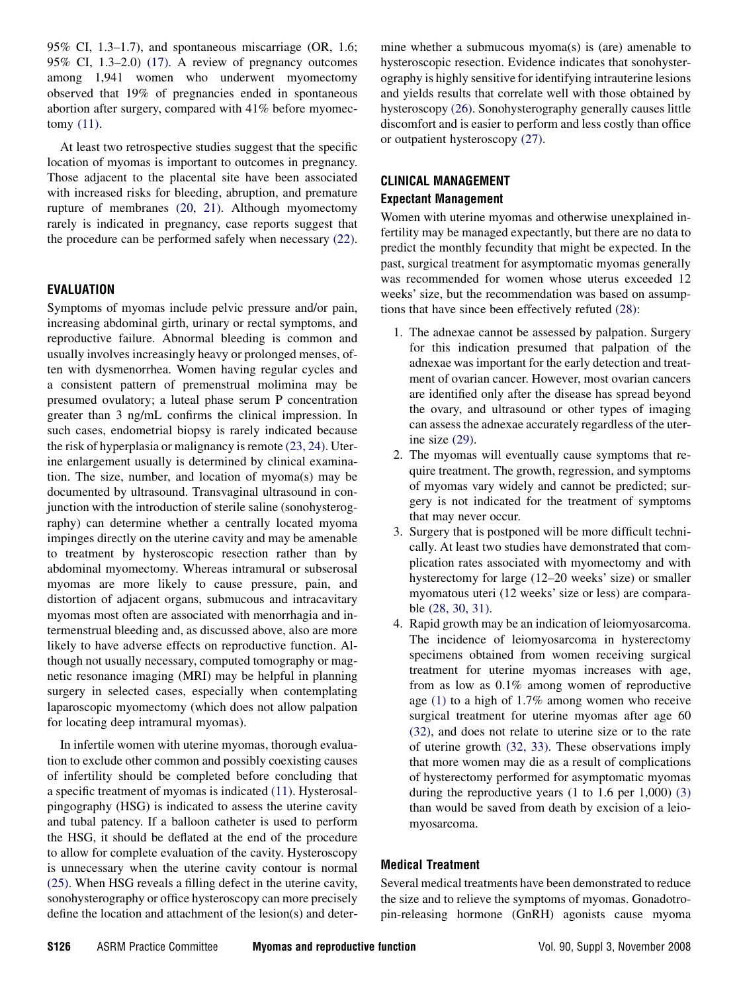95% CI, 1.3–1.7), and spontaneous miscarriage (OR, 1.6; 95% CI, 1.3–2.0) [\(17\)](#page-4-0). A review of pregnancy outcomes among 1,941 women who underwent myomectomy observed that 19% of pregnancies ended in spontaneous abortion after surgery, compared with 41% before myomectomy [\(11\)](#page-4-0).

At least two retrospective studies suggest that the specific location of myomas is important to outcomes in pregnancy. Those adjacent to the placental site have been associated with increased risks for bleeding, abruption, and premature rupture of membranes [\(20, 21\)](#page-4-0). Although myomectomy rarely is indicated in pregnancy, case reports suggest that the procedure can be performed safely when necessary [\(22\)](#page-4-0).

## EVALUATION

Symptoms of myomas include pelvic pressure and/or pain, increasing abdominal girth, urinary or rectal symptoms, and reproductive failure. Abnormal bleeding is common and usually involves increasingly heavy or prolonged menses, often with dysmenorrhea. Women having regular cycles and a consistent pattern of premenstrual molimina may be presumed ovulatory; a luteal phase serum P concentration greater than 3 ng/mL confirms the clinical impression. In such cases, endometrial biopsy is rarely indicated because the risk of hyperplasia or malignancy is remote [\(23, 24\).](#page-4-0) Uterine enlargement usually is determined by clinical examination. The size, number, and location of myoma(s) may be documented by ultrasound. Transvaginal ultrasound in conjunction with the introduction of sterile saline (sonohysterography) can determine whether a centrally located myoma impinges directly on the uterine cavity and may be amenable to treatment by hysteroscopic resection rather than by abdominal myomectomy. Whereas intramural or subserosal myomas are more likely to cause pressure, pain, and distortion of adjacent organs, submucous and intracavitary myomas most often are associated with menorrhagia and intermenstrual bleeding and, as discussed above, also are more likely to have adverse effects on reproductive function. Although not usually necessary, computed tomography or magnetic resonance imaging (MRI) may be helpful in planning surgery in selected cases, especially when contemplating laparoscopic myomectomy (which does not allow palpation for locating deep intramural myomas).

In infertile women with uterine myomas, thorough evaluation to exclude other common and possibly coexisting causes of infertility should be completed before concluding that a specific treatment of myomas is indicated [\(11\)](#page-4-0). Hysterosalpingography (HSG) is indicated to assess the uterine cavity and tubal patency. If a balloon catheter is used to perform the HSG, it should be deflated at the end of the procedure to allow for complete evaluation of the cavity. Hysteroscopy is unnecessary when the uterine cavity contour is normal [\(25\).](#page-4-0) When HSG reveals a filling defect in the uterine cavity, sonohysterography or office hysteroscopy can more precisely define the location and attachment of the lesion(s) and determine whether a submucous myoma(s) is (are) amenable to hysteroscopic resection. Evidence indicates that sonohysterography is highly sensitive for identifying intrauterine lesions and yields results that correlate well with those obtained by hysteroscopy [\(26\)](#page-4-0). Sonohysterography generally causes little discomfort and is easier to perform and less costly than office or outpatient hysteroscopy [\(27\)](#page-4-0).

## CLINICAL MANAGEMENT Expectant Management

Women with uterine myomas and otherwise unexplained infertility may be managed expectantly, but there are no data to predict the monthly fecundity that might be expected. In the past, surgical treatment for asymptomatic myomas generally was recommended for women whose uterus exceeded 12 weeks' size, but the recommendation was based on assumptions that have since been effectively refuted [\(28\):](#page-4-0)

- 1. The adnexae cannot be assessed by palpation. Surgery for this indication presumed that palpation of the adnexae was important for the early detection and treatment of ovarian cancer. However, most ovarian cancers are identified only after the disease has spread beyond the ovary, and ultrasound or other types of imaging can assess the adnexae accurately regardless of the uterine size [\(29\)](#page-4-0).
- 2. The myomas will eventually cause symptoms that require treatment. The growth, regression, and symptoms of myomas vary widely and cannot be predicted; surgery is not indicated for the treatment of symptoms that may never occur.
- 3. Surgery that is postponed will be more difficult technically. At least two studies have demonstrated that complication rates associated with myomectomy and with hysterectomy for large (12–20 weeks' size) or smaller myomatous uteri (12 weeks' size or less) are comparable [\(28, 30, 31\).](#page-4-0)
- 4. Rapid growth may be an indication of leiomyosarcoma. The incidence of leiomyosarcoma in hysterectomy specimens obtained from women receiving surgical treatment for uterine myomas increases with age, from as low as 0.1% among women of reproductive age [\(1\)](#page-4-0) to a high of 1.7% among women who receive surgical treatment for uterine myomas after age 60 [\(32\),](#page-5-0) and does not relate to uterine size or to the rate of uterine growth [\(32, 33\).](#page-5-0) These observations imply that more women may die as a result of complications of hysterectomy performed for asymptomatic myomas during the reproductive years (1 to 1.6 per 1,000) [\(3\)](#page-4-0) than would be saved from death by excision of a leiomyosarcoma.

## Medical Treatment

Several medical treatments have been demonstrated to reduce the size and to relieve the symptoms of myomas. Gonadotropin-releasing hormone (GnRH) agonists cause myoma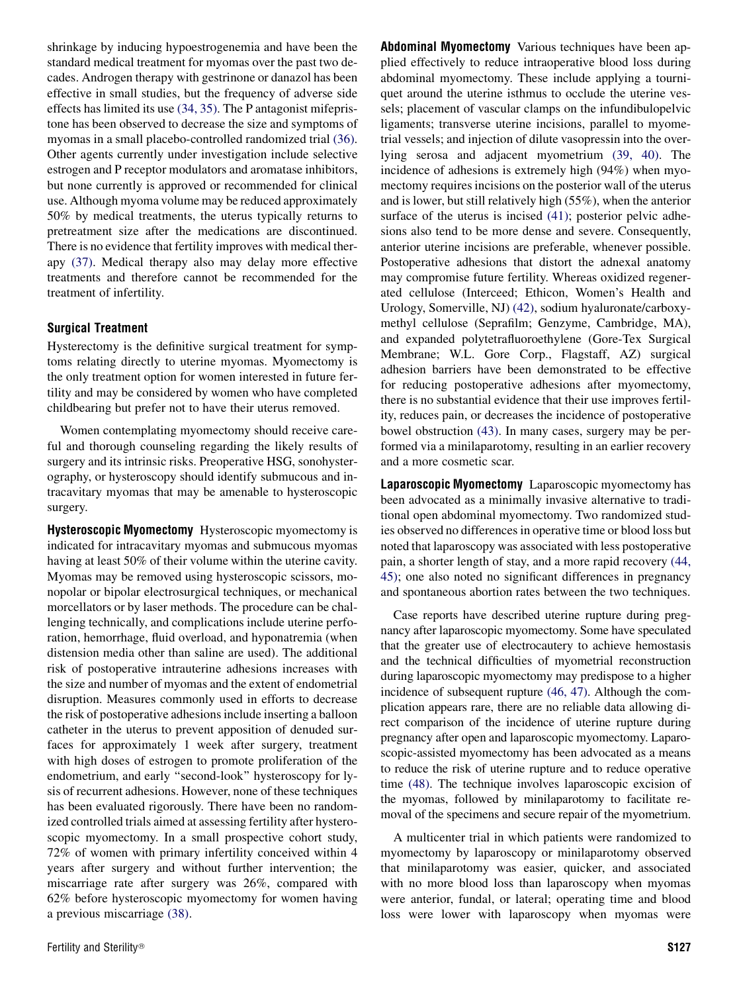shrinkage by inducing hypoestrogenemia and have been the standard medical treatment for myomas over the past two decades. Androgen therapy with gestrinone or danazol has been effective in small studies, but the frequency of adverse side effects has limited its use [\(34, 35\)](#page-5-0). The P antagonist mifepristone has been observed to decrease the size and symptoms of myomas in a small placebo-controlled randomized trial [\(36\)](#page-5-0). Other agents currently under investigation include selective estrogen and P receptor modulators and aromatase inhibitors, but none currently is approved or recommended for clinical use. Although myoma volume may be reduced approximately 50% by medical treatments, the uterus typically returns to pretreatment size after the medications are discontinued. There is no evidence that fertility improves with medical therapy [\(37\)](#page-5-0). Medical therapy also may delay more effective treatments and therefore cannot be recommended for the treatment of infertility.

#### Surgical Treatment

Hysterectomy is the definitive surgical treatment for symptoms relating directly to uterine myomas. Myomectomy is the only treatment option for women interested in future fertility and may be considered by women who have completed childbearing but prefer not to have their uterus removed.

Women contemplating myomectomy should receive careful and thorough counseling regarding the likely results of surgery and its intrinsic risks. Preoperative HSG, sonohysterography, or hysteroscopy should identify submucous and intracavitary myomas that may be amenable to hysteroscopic surgery.

Hysteroscopic Myomectomy Hysteroscopic myomectomy is indicated for intracavitary myomas and submucous myomas having at least 50% of their volume within the uterine cavity. Myomas may be removed using hysteroscopic scissors, monopolar or bipolar electrosurgical techniques, or mechanical morcellators or by laser methods. The procedure can be challenging technically, and complications include uterine perforation, hemorrhage, fluid overload, and hyponatremia (when distension media other than saline are used). The additional risk of postoperative intrauterine adhesions increases with the size and number of myomas and the extent of endometrial disruption. Measures commonly used in efforts to decrease the risk of postoperative adhesions include inserting a balloon catheter in the uterus to prevent apposition of denuded surfaces for approximately 1 week after surgery, treatment with high doses of estrogen to promote proliferation of the endometrium, and early ''second-look'' hysteroscopy for lysis of recurrent adhesions. However, none of these techniques has been evaluated rigorously. There have been no randomized controlled trials aimed at assessing fertility after hysteroscopic myomectomy. In a small prospective cohort study, 72% of women with primary infertility conceived within 4 years after surgery and without further intervention; the miscarriage rate after surgery was 26%, compared with 62% before hysteroscopic myomectomy for women having a previous miscarriage [\(38\)](#page-5-0).

plied effectively to reduce intraoperative blood loss during abdominal myomectomy. These include applying a tourniquet around the uterine isthmus to occlude the uterine vessels; placement of vascular clamps on the infundibulopelvic ligaments; transverse uterine incisions, parallel to myometrial vessels; and injection of dilute vasopressin into the overlying serosa and adjacent myometrium [\(39, 40\).](#page-5-0) The incidence of adhesions is extremely high (94%) when myomectomy requires incisions on the posterior wall of the uterus and is lower, but still relatively high (55%), when the anterior surface of the uterus is incised [\(41\)](#page-5-0); posterior pelvic adhesions also tend to be more dense and severe. Consequently, anterior uterine incisions are preferable, whenever possible. Postoperative adhesions that distort the adnexal anatomy may compromise future fertility. Whereas oxidized regenerated cellulose (Interceed; Ethicon, Women's Health and Urology, Somerville, NJ) [\(42\),](#page-5-0) sodium hyaluronate/carboxymethyl cellulose (Seprafilm; Genzyme, Cambridge, MA), and expanded polytetrafluoroethylene (Gore-Tex Surgical Membrane; W.L. Gore Corp., Flagstaff, AZ) surgical adhesion barriers have been demonstrated to be effective for reducing postoperative adhesions after myomectomy, there is no substantial evidence that their use improves fertility, reduces pain, or decreases the incidence of postoperative bowel obstruction [\(43\).](#page-5-0) In many cases, surgery may be performed via a minilaparotomy, resulting in an earlier recovery and a more cosmetic scar.

Abdominal Myomectomy Various techniques have been ap-

Laparoscopic Myomectomy Laparoscopic myomectomy has been advocated as a minimally invasive alternative to traditional open abdominal myomectomy. Two randomized studies observed no differences in operative time or blood loss but noted that laparoscopy was associated with less postoperative pain, a shorter length of stay, and a more rapid recovery [\(44,](#page-5-0) [45\)](#page-5-0); one also noted no significant differences in pregnancy and spontaneous abortion rates between the two techniques.

Case reports have described uterine rupture during pregnancy after laparoscopic myomectomy. Some have speculated that the greater use of electrocautery to achieve hemostasis and the technical difficulties of myometrial reconstruction during laparoscopic myomectomy may predispose to a higher incidence of subsequent rupture [\(46, 47\)](#page-5-0). Although the complication appears rare, there are no reliable data allowing direct comparison of the incidence of uterine rupture during pregnancy after open and laparoscopic myomectomy. Laparoscopic-assisted myomectomy has been advocated as a means to reduce the risk of uterine rupture and to reduce operative time [\(48\).](#page-5-0) The technique involves laparoscopic excision of the myomas, followed by minilaparotomy to facilitate removal of the specimens and secure repair of the myometrium.

A multicenter trial in which patients were randomized to myomectomy by laparoscopy or minilaparotomy observed that minilaparotomy was easier, quicker, and associated with no more blood loss than laparoscopy when myomas were anterior, fundal, or lateral; operating time and blood loss were lower with laparoscopy when myomas were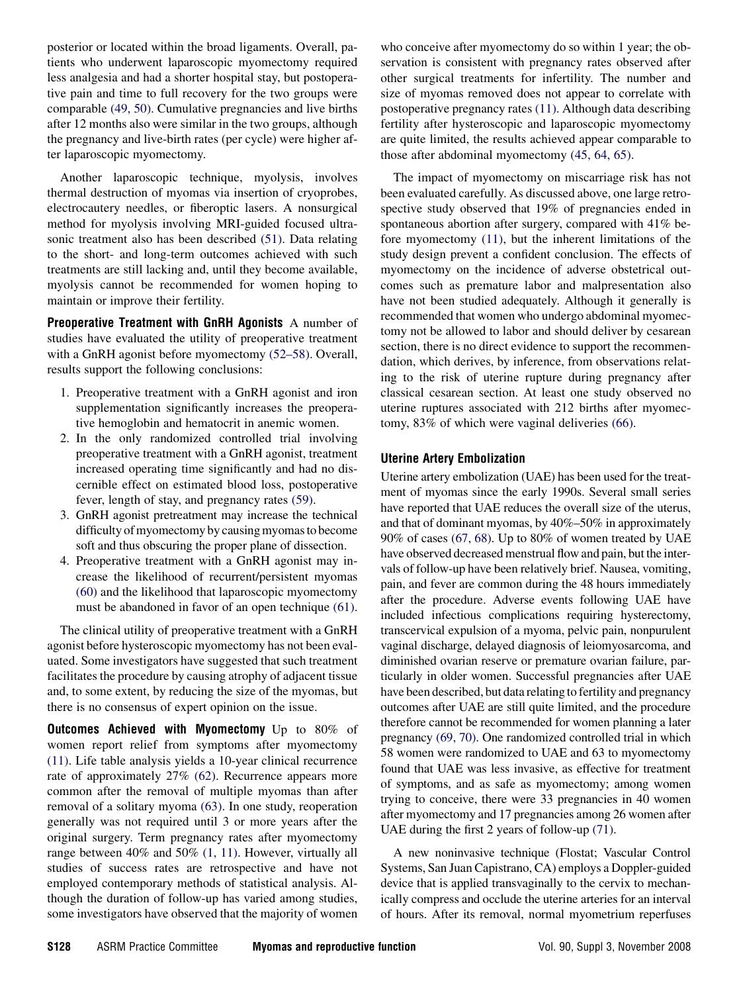posterior or located within the broad ligaments. Overall, patients who underwent laparoscopic myomectomy required less analgesia and had a shorter hospital stay, but postoperative pain and time to full recovery for the two groups were comparable [\(49, 50\).](#page-5-0) Cumulative pregnancies and live births after 12 months also were similar in the two groups, although the pregnancy and live-birth rates (per cycle) were higher after laparoscopic myomectomy.

Another laparoscopic technique, myolysis, involves thermal destruction of myomas via insertion of cryoprobes, electrocautery needles, or fiberoptic lasers. A nonsurgical method for myolysis involving MRI-guided focused ultrasonic treatment also has been described [\(51\).](#page-5-0) Data relating to the short- and long-term outcomes achieved with such treatments are still lacking and, until they become available, myolysis cannot be recommended for women hoping to maintain or improve their fertility.

Preoperative Treatment with GnRH Agonists A number of studies have evaluated the utility of preoperative treatment with a GnRH agonist before myomectomy [\(52–58\).](#page-5-0) Overall, results support the following conclusions:

- 1. Preoperative treatment with a GnRH agonist and iron supplementation significantly increases the preoperative hemoglobin and hematocrit in anemic women.
- 2. In the only randomized controlled trial involving preoperative treatment with a GnRH agonist, treatment increased operating time significantly and had no discernible effect on estimated blood loss, postoperative fever, length of stay, and pregnancy rates [\(59\)](#page-5-0).
- 3. GnRH agonist pretreatment may increase the technical difficulty of myomectomy by causing myomas to become soft and thus obscuring the proper plane of dissection.
- 4. Preoperative treatment with a GnRH agonist may increase the likelihood of recurrent/persistent myomas [\(60\)](#page-5-0) and the likelihood that laparoscopic myomectomy must be abandoned in favor of an open technique [\(61\)](#page-5-0).

The clinical utility of preoperative treatment with a GnRH agonist before hysteroscopic myomectomy has not been evaluated. Some investigators have suggested that such treatment facilitates the procedure by causing atrophy of adjacent tissue and, to some extent, by reducing the size of the myomas, but there is no consensus of expert opinion on the issue.

**Outcomes Achieved with Myomectomy** Up to 80% of women report relief from symptoms after myomectomy [\(11\).](#page-4-0) Life table analysis yields a 10-year clinical recurrence rate of approximately 27% [\(62\)](#page-5-0). Recurrence appears more common after the removal of multiple myomas than after removal of a solitary myoma [\(63\)](#page-5-0). In one study, reoperation generally was not required until 3 or more years after the original surgery. Term pregnancy rates after myomectomy range between 40% and 50% [\(1, 11\)](#page-4-0). However, virtually all studies of success rates are retrospective and have not employed contemporary methods of statistical analysis. Although the duration of follow-up has varied among studies, some investigators have observed that the majority of women

who conceive after myomectomy do so within 1 year; the observation is consistent with pregnancy rates observed after other surgical treatments for infertility. The number and size of myomas removed does not appear to correlate with postoperative pregnancy rates [\(11\).](#page-4-0) Although data describing fertility after hysteroscopic and laparoscopic myomectomy are quite limited, the results achieved appear comparable to those after abdominal myomectomy [\(45, 64, 65\)](#page-5-0).

The impact of myomectomy on miscarriage risk has not been evaluated carefully. As discussed above, one large retrospective study observed that 19% of pregnancies ended in spontaneous abortion after surgery, compared with 41% before myomectomy [\(11\)](#page-4-0), but the inherent limitations of the study design prevent a confident conclusion. The effects of myomectomy on the incidence of adverse obstetrical outcomes such as premature labor and malpresentation also have not been studied adequately. Although it generally is recommended that women who undergo abdominal myomectomy not be allowed to labor and should deliver by cesarean section, there is no direct evidence to support the recommendation, which derives, by inference, from observations relating to the risk of uterine rupture during pregnancy after classical cesarean section. At least one study observed no uterine ruptures associated with 212 births after myomectomy, 83% of which were vaginal deliveries [\(66\).](#page-5-0)

## Uterine Artery Embolization

Uterine artery embolization (UAE) has been used for the treatment of myomas since the early 1990s. Several small series have reported that UAE reduces the overall size of the uterus, and that of dominant myomas, by 40%–50% in approximately 90% of cases [\(67, 68\)](#page-5-0). Up to 80% of women treated by UAE have observed decreased menstrual flow and pain, but the intervals of follow-up have been relatively brief. Nausea, vomiting, pain, and fever are common during the 48 hours immediately after the procedure. Adverse events following UAE have included infectious complications requiring hysterectomy, transcervical expulsion of a myoma, pelvic pain, nonpurulent vaginal discharge, delayed diagnosis of leiomyosarcoma, and diminished ovarian reserve or premature ovarian failure, particularly in older women. Successful pregnancies after UAE have been described, but data relating to fertility and pregnancy outcomes after UAE are still quite limited, and the procedure therefore cannot be recommended for women planning a later pregnancy [\(69, 70\)](#page-5-0). One randomized controlled trial in which 58 women were randomized to UAE and 63 to myomectomy found that UAE was less invasive, as effective for treatment of symptoms, and as safe as myomectomy; among women trying to conceive, there were 33 pregnancies in 40 women after myomectomy and 17 pregnancies among 26 women after UAE during the first 2 years of follow-up [\(71\)](#page-5-0).

A new noninvasive technique (Flostat; Vascular Control Systems, San Juan Capistrano, CA) employs a Doppler-guided device that is applied transvaginally to the cervix to mechanically compress and occlude the uterine arteries for an interval of hours. After its removal, normal myometrium reperfuses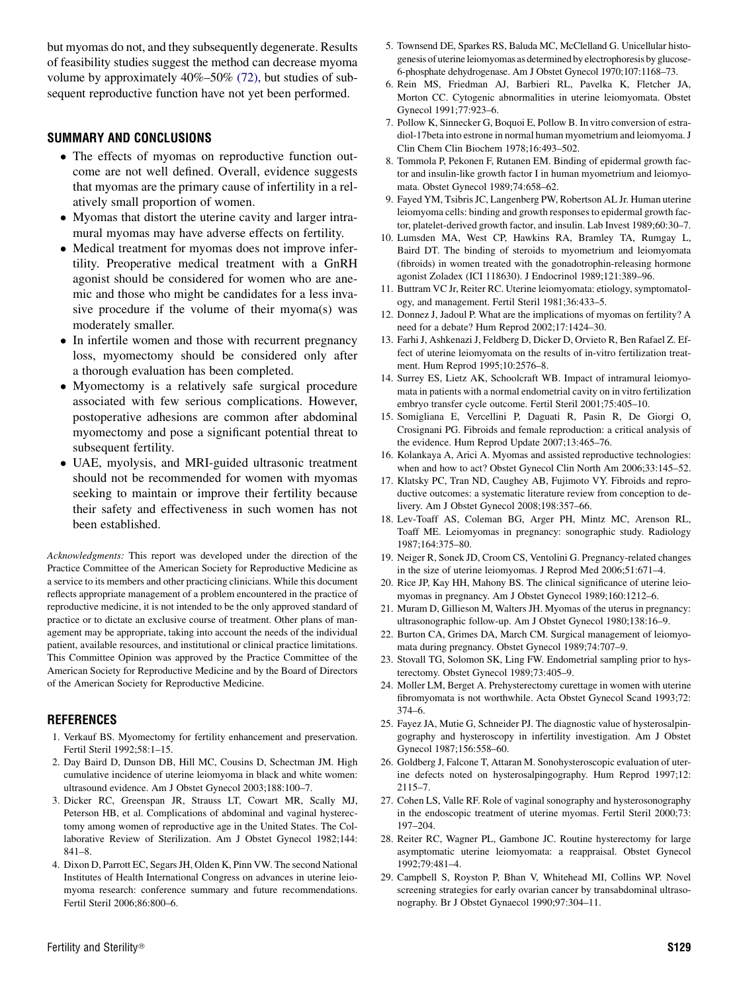<span id="page-4-0"></span>but myomas do not, and they subsequently degenerate. Results of feasibility studies suggest the method can decrease myoma volume by approximately 40%–50% [\(72\)](#page-5-0), but studies of subsequent reproductive function have not yet been performed.

## SUMMARY AND CONCLUSIONS

- The effects of myomas on reproductive function outcome are not well defined. Overall, evidence suggests that myomas are the primary cause of infertility in a relatively small proportion of women.
- Myomas that distort the uterine cavity and larger intramural myomas may have adverse effects on fertility.
- Medical treatment for myomas does not improve infertility. Preoperative medical treatment with a GnRH agonist should be considered for women who are anemic and those who might be candidates for a less invasive procedure if the volume of their myoma(s) was moderately smaller.
- In infertile women and those with recurrent pregnancy loss, myomectomy should be considered only after a thorough evaluation has been completed.
- Myomectomy is a relatively safe surgical procedure associated with few serious complications. However, postoperative adhesions are common after abdominal myomectomy and pose a significant potential threat to subsequent fertility.
- UAE, myolysis, and MRI-guided ultrasonic treatment should not be recommended for women with myomas seeking to maintain or improve their fertility because their safety and effectiveness in such women has not been established.

Acknowledgments: This report was developed under the direction of the Practice Committee of the American Society for Reproductive Medicine as a service to its members and other practicing clinicians. While this document reflects appropriate management of a problem encountered in the practice of reproductive medicine, it is not intended to be the only approved standard of practice or to dictate an exclusive course of treatment. Other plans of management may be appropriate, taking into account the needs of the individual patient, available resources, and institutional or clinical practice limitations. This Committee Opinion was approved by the Practice Committee of the American Society for Reproductive Medicine and by the Board of Directors of the American Society for Reproductive Medicine.

#### **REFERENCES**

- 1. Verkauf BS. Myomectomy for fertility enhancement and preservation. Fertil Steril 1992;58:1–15.
- 2. Day Baird D, Dunson DB, Hill MC, Cousins D, Schectman JM. High cumulative incidence of uterine leiomyoma in black and white women: ultrasound evidence. Am J Obstet Gynecol 2003;188:100–7.
- 3. Dicker RC, Greenspan JR, Strauss LT, Cowart MR, Scally MJ, Peterson HB, et al. Complications of abdominal and vaginal hysterectomy among women of reproductive age in the United States. The Collaborative Review of Sterilization. Am J Obstet Gynecol 1982;144: 841–8.
- 4. Dixon D, Parrott EC, Segars JH, Olden K, Pinn VW. The second National Institutes of Health International Congress on advances in uterine leiomyoma research: conference summary and future recommendations. Fertil Steril 2006;86:800–6.
- 5. Townsend DE, Sparkes RS, Baluda MC, McClelland G. Unicellular histogenesis of uterine leiomyomas as determined by electrophoresis by glucose-6-phosphate dehydrogenase. Am J Obstet Gynecol 1970;107:1168–73.
- 6. Rein MS, Friedman AJ, Barbieri RL, Pavelka K, Fletcher JA, Morton CC. Cytogenic abnormalities in uterine leiomyomata. Obstet Gynecol 1991;77:923–6.
- 7. Pollow K, Sinnecker G, Boquoi E, Pollow B. In vitro conversion of estradiol-17beta into estrone in normal human myometrium and leiomyoma. J Clin Chem Clin Biochem 1978;16:493–502.
- 8. Tommola P, Pekonen F, Rutanen EM. Binding of epidermal growth factor and insulin-like growth factor I in human myometrium and leiomyomata. Obstet Gynecol 1989;74:658–62.
- 9. Fayed YM, Tsibris JC, Langenberg PW, Robertson AL Jr. Human uterine leiomyoma cells: binding and growth responses to epidermal growth factor, platelet-derived growth factor, and insulin. Lab Invest 1989;60:30–7.
- 10. Lumsden MA, West CP, Hawkins RA, Bramley TA, Rumgay L, Baird DT. The binding of steroids to myometrium and leiomyomata (fibroids) in women treated with the gonadotrophin-releasing hormone agonist Zoladex (ICI 118630). J Endocrinol 1989;121:389–96.
- 11. Buttram VC Jr, Reiter RC. Uterine leiomyomata: etiology, symptomatology, and management. Fertil Steril 1981;36:433–5.
- 12. Donnez J, Jadoul P. What are the implications of myomas on fertility? A need for a debate? Hum Reprod 2002;17:1424–30.
- 13. Farhi J, Ashkenazi J, Feldberg D, Dicker D, Orvieto R, Ben Rafael Z. Effect of uterine leiomyomata on the results of in-vitro fertilization treatment. Hum Reprod 1995;10:2576–8.
- 14. Surrey ES, Lietz AK, Schoolcraft WB. Impact of intramural leiomyomata in patients with a normal endometrial cavity on in vitro fertilization embryo transfer cycle outcome. Fertil Steril 2001;75:405–10.
- 15. Somigliana E, Vercellini P, Daguati R, Pasin R, De Giorgi O, Crosignani PG. Fibroids and female reproduction: a critical analysis of the evidence. Hum Reprod Update 2007;13:465–76.
- 16. Kolankaya A, Arici A. Myomas and assisted reproductive technologies: when and how to act? Obstet Gynecol Clin North Am 2006;33:145–52.
- 17. Klatsky PC, Tran ND, Caughey AB, Fujimoto VY. Fibroids and reproductive outcomes: a systematic literature review from conception to delivery. Am J Obstet Gynecol 2008;198:357–66.
- 18. Lev-Toaff AS, Coleman BG, Arger PH, Mintz MC, Arenson RL, Toaff ME. Leiomyomas in pregnancy: sonographic study. Radiology 1987;164:375–80.
- 19. Neiger R, Sonek JD, Croom CS, Ventolini G. Pregnancy-related changes in the size of uterine leiomyomas. J Reprod Med 2006;51:671–4.
- 20. Rice JP, Kay HH, Mahony BS. The clinical significance of uterine leiomyomas in pregnancy. Am J Obstet Gynecol 1989;160:1212–6.
- 21. Muram D, Gillieson M, Walters JH. Myomas of the uterus in pregnancy: ultrasonographic follow-up. Am J Obstet Gynecol 1980;138:16–9.
- 22. Burton CA, Grimes DA, March CM. Surgical management of leiomyomata during pregnancy. Obstet Gynecol 1989;74:707–9.
- 23. Stovall TG, Solomon SK, Ling FW. Endometrial sampling prior to hysterectomy. Obstet Gynecol 1989;73:405–9.
- 24. Moller LM, Berget A. Prehysterectomy curettage in women with uterine fibromyomata is not worthwhile. Acta Obstet Gynecol Scand 1993;72: 374–6.
- 25. Fayez JA, Mutie G, Schneider PJ. The diagnostic value of hysterosalpingography and hysteroscopy in infertility investigation. Am J Obstet Gynecol 1987;156:558–60.
- 26. Goldberg J, Falcone T, Attaran M. Sonohysteroscopic evaluation of uterine defects noted on hysterosalpingography. Hum Reprod 1997;12: 2115–7.
- 27. Cohen LS, Valle RF. Role of vaginal sonography and hysterosonography in the endoscopic treatment of uterine myomas. Fertil Steril 2000;73: 197–204.
- 28. Reiter RC, Wagner PL, Gambone JC. Routine hysterectomy for large asymptomatic uterine leiomyomata: a reappraisal. Obstet Gynecol 1992;79:481–4.
- 29. Campbell S, Royston P, Bhan V, Whitehead MI, Collins WP. Novel screening strategies for early ovarian cancer by transabdominal ultrasonography. Br J Obstet Gynaecol 1990;97:304–11.